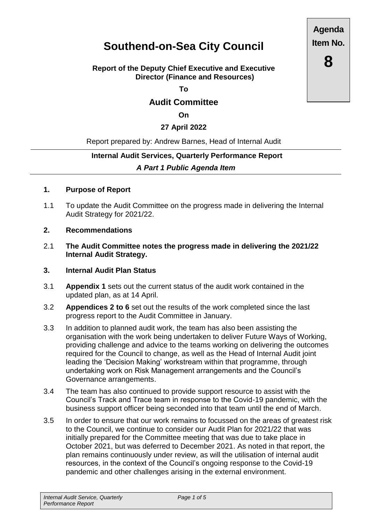# **Southend-on-Sea City Council**

#### **Report of the Deputy Chief Executive and Executive Director (Finance and Resources)**

**To**

# **Audit Committee**

**On**

#### **27 April 2022**

#### Report prepared by: Andrew Barnes, Head of Internal Audit

# **Internal Audit Services, Quarterly Performance Report**  *A Part 1 Public Agenda Item*

#### **1. Purpose of Report**

1.1 To update the Audit Committee on the progress made in delivering the Internal Audit Strategy for 2021/22.

#### **2. Recommendations**

2.1 **The Audit Committee notes the progress made in delivering the 2021/22 Internal Audit Strategy.**

#### **3. Internal Audit Plan Status**

- 3.1 **Appendix 1** sets out the current status of the audit work contained in the updated plan, as at 14 April.
- 3.2 **Appendices 2 to 6** set out the results of the work completed since the last progress report to the Audit Committee in January.
- 3.3 In addition to planned audit work, the team has also been assisting the organisation with the work being undertaken to deliver Future Ways of Working, providing challenge and advice to the teams working on delivering the outcomes required for the Council to change, as well as the Head of Internal Audit joint leading the 'Decision Making' workstream within that programme, through undertaking work on Risk Management arrangements and the Council's Governance arrangements.
- 3.4 The team has also continued to provide support resource to assist with the Council's Track and Trace team in response to the Covid-19 pandemic, with the business support officer being seconded into that team until the end of March.
- 3.5 In order to ensure that our work remains to focussed on the areas of greatest risk to the Council, we continue to consider our Audit Plan for 2021/22 that was initially prepared for the Committee meeting that was due to take place in October 2021, but was deferred to December 2021. As noted in that report, the plan remains continuously under review, as will the utilisation of internal audit resources, in the context of the Council's ongoing response to the Covid-19 pandemic and other challenges arising in the external environment.

**Agenda Item No.**

**8**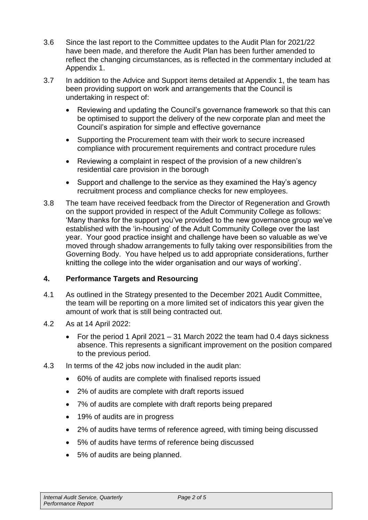- 3.6 Since the last report to the Committee updates to the Audit Plan for 2021/22 have been made, and therefore the Audit Plan has been further amended to reflect the changing circumstances, as is reflected in the commentary included at Appendix 1.
- 3.7 In addition to the Advice and Support items detailed at Appendix 1, the team has been providing support on work and arrangements that the Council is undertaking in respect of:
	- Reviewing and updating the Council's governance framework so that this can be optimised to support the delivery of the new corporate plan and meet the Council's aspiration for simple and effective governance
	- Supporting the Procurement team with their work to secure increased compliance with procurement requirements and contract procedure rules
	- Reviewing a complaint in respect of the provision of a new children's residential care provision in the borough
	- Support and challenge to the service as they examined the Hay's agency recruitment process and compliance checks for new employees.
- 3.8 The team have received feedback from the Director of Regeneration and Growth on the support provided in respect of the Adult Community College as follows: 'Many thanks for the support you've provided to the new governance group we've established with the 'in-housing' of the Adult Community College over the last year. Your good practice insight and challenge have been so valuable as we've moved through shadow arrangements to fully taking over responsibilities from the Governing Body. You have helped us to add appropriate considerations, further knitting the college into the wider organisation and our ways of working'.

# **4. Performance Targets and Resourcing**

- 4.1 As outlined in the Strategy presented to the December 2021 Audit Committee, the team will be reporting on a more limited set of indicators this year given the amount of work that is still being contracted out.
- 4.2 As at 14 April 2022:
	- For the period 1 April 2021 31 March 2022 the team had 0.4 days sickness absence. This represents a significant improvement on the position compared to the previous period.
- 4.3 In terms of the 42 jobs now included in the audit plan:
	- 60% of audits are complete with finalised reports issued
	- 2% of audits are complete with draft reports issued
	- 7% of audits are complete with draft reports being prepared
	- 19% of audits are in progress
	- 2% of audits have terms of reference agreed, with timing being discussed
	- 5% of audits have terms of reference being discussed
	- 5% of audits are being planned.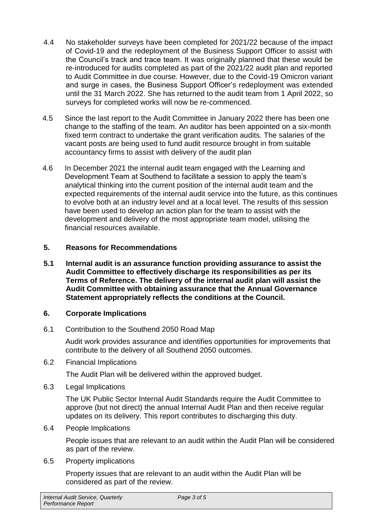- 4.4 No stakeholder surveys have been completed for 2021/22 because of the impact of Covid-19 and the redeployment of the Business Support Officer to assist with the Council's track and trace team. It was originally planned that these would be re-introduced for audits completed as part of the 2021/22 audit plan and reported to Audit Committee in due course. However, due to the Covid-19 Omicron variant and surge in cases, the Business Support Officer's redeployment was extended until the 31 March 2022. She has returned to the audit team from 1 April 2022, so surveys for completed works will now be re-commenced.
- 4.5 Since the last report to the Audit Committee in January 2022 there has been one change to the staffing of the team. An auditor has been appointed on a six-month fixed term contract to undertake the grant verification audits. The salaries of the vacant posts are being used to fund audit resource brought in from suitable accountancy firms to assist with delivery of the audit plan
- 4.6 In December 2021 the internal audit team engaged with the Learning and Development Team at Southend to facilitate a session to apply the team's analytical thinking into the current position of the internal audit team and the expected requirements of the internal audit service into the future, as this continues to evolve both at an industry level and at a local level. The results of this session have been used to develop an action plan for the team to assist with the development and delivery of the most appropriate team model, utilising the financial resources available.

# **5. Reasons for Recommendations**

**5.1 Internal audit is an assurance function providing assurance to assist the Audit Committee to effectively discharge its responsibilities as per its Terms of Reference. The delivery of the internal audit plan will assist the Audit Committee with obtaining assurance that the Annual Governance Statement appropriately reflects the conditions at the Council.**

# **6. Corporate Implications**

6.1 Contribution to the Southend 2050 Road Map

Audit work provides assurance and identifies opportunities for improvements that contribute to the delivery of all Southend 2050 outcomes.

6.2 Financial Implications

The Audit Plan will be delivered within the approved budget.

6.3 Legal Implications

The UK Public Sector Internal Audit Standards require the Audit Committee to approve (but not direct) the annual Internal Audit Plan and then receive regular updates on its delivery. This report contributes to discharging this duty.

6.4 People Implications

People issues that are relevant to an audit within the Audit Plan will be considered as part of the review.

6.5 Property implications

Property issues that are relevant to an audit within the Audit Plan will be considered as part of the review.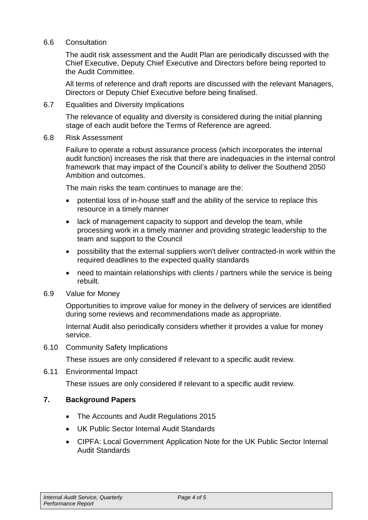#### 6.6 Consultation

The audit risk assessment and the Audit Plan are periodically discussed with the Chief Executive, Deputy Chief Executive and Directors before being reported to the Audit Committee.

All terms of reference and draft reports are discussed with the relevant Managers, Directors or Deputy Chief Executive before being finalised.

6.7 Equalities and Diversity Implications

The relevance of equality and diversity is considered during the initial planning stage of each audit before the Terms of Reference are agreed.

6.8 Risk Assessment

Failure to operate a robust assurance process (which incorporates the internal audit function) increases the risk that there are inadequacies in the internal control framework that may impact of the Council's ability to deliver the Southend 2050 Ambition and outcomes.

The main risks the team continues to manage are the:

- potential loss of in-house staff and the ability of the service to replace this resource in a timely manner
- lack of management capacity to support and develop the team, while processing work in a timely manner and providing strategic leadership to the team and support to the Council
- possibility that the external suppliers won't deliver contracted-in work within the required deadlines to the expected quality standards
- need to maintain relationships with clients / partners while the service is being rebuilt.
- 6.9 Value for Money

Opportunities to improve value for money in the delivery of services are identified during some reviews and recommendations made as appropriate.

Internal Audit also periodically considers whether it provides a value for money service.

6.10 Community Safety Implications

These issues are only considered if relevant to a specific audit review.

6.11 Environmental Impact

These issues are only considered if relevant to a specific audit review.

# **7. Background Papers**

- The Accounts and Audit Regulations 2015
- UK Public Sector Internal Audit Standards
- CIPFA: Local Government Application Note for the UK Public Sector Internal Audit Standards